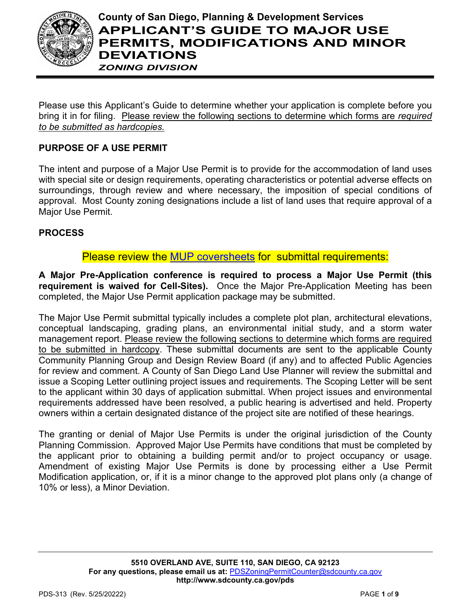

# **County of San Diego, Planning & Development Services APPLICANT'S GUIDE TO MAJOR USE PERMITS, MODIFICATIONS AND MINOR DEVIATIONS** *ZONING DIVISION*

Please use this Applicant's Guide to determine whether your application is complete before you bring it in for filing. Please review the following sections to determine which forms are *required to be submitted as hardcopies.*

# **PURPOSE OF A USE PERMIT**

The intent and purpose of a Major Use Permit is to provide for the accommodation of land uses with special site or design requirements, operating characteristics or potential adverse effects on surroundings, through review and where necessary, the imposition of special conditions of approval. Most County zoning designations include a list of land uses that require approval of a Major Use Permit.

## **PROCESS**

# Please review the [MUP coversheets](http://www.sandiegocounty.gov/content/sdc/pds/zoning/ZoningPermits.html) for submittal requirements:

**A Major Pre-Application conference is required to process a Major Use Permit (this requirement is waived for Cell-Sites).** Once the Major Pre-Application Meeting has been completed, the Major Use Permit application package may be submitted.

The Major Use Permit submittal typically includes a complete plot plan, architectural elevations, conceptual landscaping, grading plans, an environmental initial study, and a storm water management report. Please review the following sections to determine which forms are required to be submitted in hardcopy. These submittal documents are sent to the applicable County Community Planning Group and Design Review Board (if any) and to affected Public Agencies for review and comment. A County of San Diego Land Use Planner will review the submittal and issue a Scoping Letter outlining project issues and requirements. The Scoping Letter will be sent to the applicant within 30 days of application submittal. When project issues and environmental requirements addressed have been resolved, a public hearing is advertised and held. Property owners within a certain designated distance of the project site are notified of these hearings.

The granting or denial of Major Use Permits is under the original jurisdiction of the County Planning Commission. Approved Major Use Permits have conditions that must be completed by the applicant prior to obtaining a building permit and/or to project occupancy or usage. Amendment of existing Major Use Permits is done by processing either a Use Permit Modification application, or, if it is a minor change to the approved plot plans only (a change of 10% or less), a Minor Deviation.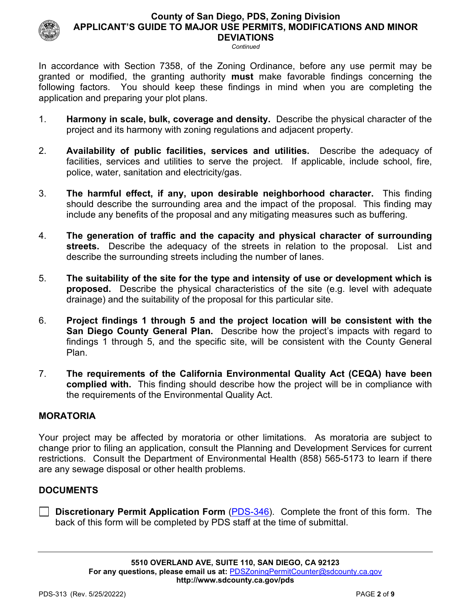*Continued*

In accordance with Section 7358, of the Zoning Ordinance, before any use permit may be granted or modified, the granting authority **must** make favorable findings concerning the following factors. You should keep these findings in mind when you are completing the application and preparing your plot plans.

- 1. **Harmony in scale, bulk, coverage and density.** Describe the physical character of the project and its harmony with zoning regulations and adjacent property.
- 2. **Availability of public facilities, services and utilities.** Describe the adequacy of facilities, services and utilities to serve the project. If applicable, include school, fire, police, water, sanitation and electricity/gas.
- 3. **The harmful effect, if any, upon desirable neighborhood character.** This finding should describe the surrounding area and the impact of the proposal. This finding may include any benefits of the proposal and any mitigating measures such as buffering.
- 4. **The generation of traffic and the capacity and physical character of surrounding streets.** Describe the adequacy of the streets in relation to the proposal. List and describe the surrounding streets including the number of lanes.
- 5. **The suitability of the site for the type and intensity of use or development which is proposed.** Describe the physical characteristics of the site (e.g. level with adequate drainage) and the suitability of the proposal for this particular site.
- 6. **Project findings 1 through 5 and the project location will be consistent with the San Diego County General Plan.** Describe how the project's impacts with regard to findings 1 through 5, and the specific site, will be consistent with the County General Plan.
- 7. **The requirements of the California Environmental Quality Act (CEQA) have been complied with.** This finding should describe how the project will be in compliance with the requirements of the Environmental Quality Act.

## **MORATORIA**

Your project may be affected by moratoria or other limitations. As moratoria are subject to change prior to filing an application, consult the Planning and Development Services for current restrictions. Consult the Department of Environmental Health (858) 565-5173 to learn if there are any sewage disposal or other health problems.

## **DOCUMENTS**

**Discretionary Permit Application Form** [\(PDS-346\)](https://www.sandiegocounty.gov/pds/zoning/formfields/PDS-PLN-346.pdf). Complete the front of this form. The back of this form will be completed by PDS staff at the time of submittal.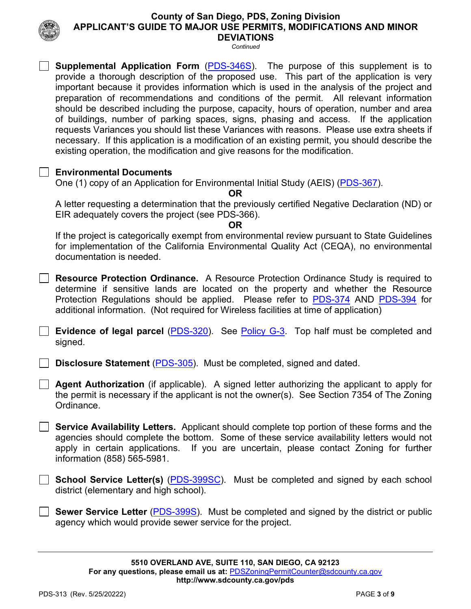*Continued*



### **Supplemental Application Form** [\(PDS-346S\)](https://www.sandiegocounty.gov/pds/zoning/formfields/PDS-PLN-346S.pdf). The purpose of this supplement is to provide a thorough description of the proposed use. This part of the application is very important because it provides information which is used in the analysis of the project and preparation of recommendations and conditions of the permit. All relevant information should be described including the purpose, capacity, hours of operation, number and area of buildings, number of parking spaces, signs, phasing and access. If the application requests Variances you should list these Variances with reasons. Please use extra sheets if necessary. If this application is a modification of an existing permit, you should describe the existing operation, the modification and give reasons for the modification.

## **Environmental Documents**

One (1) copy of an Application for Environmental Initial Study (AEIS) [\(PDS-367\)](https://www.sandiegocounty.gov/pds/zoning/formfields/PDS-PLN-367.pdf).

**OR**

A letter requesting a determination that the previously certified Negative Declaration (ND) or EIR adequately covers the project (see PDS-366).

#### **OR**

If the project is categorically exempt from environmental review pursuant to State Guidelines for implementation of the California Environmental Quality Act (CEQA), no environmental documentation is needed.

**Resource Protection Ordinance.** A Resource Protection Ordinance Study is required to determine if sensitive lands are located on the property and whether the Resource Protection Regulations should be applied. Please refer to [PDS-374](https://www.sandiegocounty.gov/pds/zoning/formfields/PDS-PLN-374.pdf) AND [PDS-394](https://www.sandiegocounty.gov/pds/zoning/formfields/PDS-PLN-394.pdf) for additional information. (Not required for Wireless facilities at time of application)

**Evidence of legal parcel** [\(PDS-320\)](https://www.sandiegocounty.gov/pds/zoning/formfields/PDS-PLN-320.pdf). See [Policy G-3.](http://www.sandiegocounty.gov/content/dam/sdc/pds/zoning/formfields/POLICY-G-3.pdf) Top half must be completed and signed.

**Disclosure Statement** [\(PDS-305\)](https://www.sandiegocounty.gov/pds/zoning/formfields/PDS-PLN-305.pdf). Must be completed, signed and dated.

**Agent Authorization** (if applicable). A signed letter authorizing the applicant to apply for the permit is necessary if the applicant is not the owner(s). See Section 7354 of The Zoning Ordinance.

**Service Availability Letters.** Applicant should complete top portion of these forms and the agencies should complete the bottom. Some of these service availability letters would not apply in certain applications. If you are uncertain, please contact Zoning for further information (858) 565-5981.

**School Service Letter(s)** [\(PDS-399SC\)](https://www.sandiegocounty.gov/pds/zoning/formfields/PDS-PLN-399SC.pdf). Must be completed and signed by each school district (elementary and high school).

**Sewer Service Letter** [\(PDS-399S\)](https://www.sandiegocounty.gov/pds/zoning/formfields/PDS-PLN-399S.pdf). Must be completed and signed by the district or public agency which would provide sewer service for the project.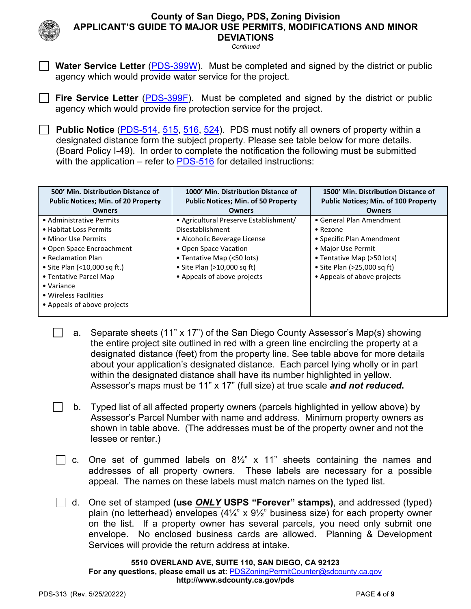*Continued*



 $\Box$ 

**Water Service Letter** [\(PDS-399W\)](https://www.sandiegocounty.gov/pds/zoning/formfields/PDS-PLN-399W.pdf). Must be completed and signed by the district or public agency which would provide water service for the project.

**Fire Service Letter** [\(PDS-399F\)](https://www.sandiegocounty.gov/pds/zoning/formfields/PDS-PLN-399F.pdf). Must be completed and signed by the district or public agency which would provide fire protection service for the project.

**Public Notice** [\(PDS-514,](https://www.sandiegocounty.gov/pds/zoning/formfields/PDS-PLN-514.pdf) [515,](https://www.sandiegocounty.gov/pds/zoning/formfields/PDS-PLN-515.pdf) [516,](https://www.sandiegocounty.gov/pds/zoning/formfields/PDS-PLN-516.pdf) [524\)](https://www.sandiegocounty.gov/pds/zoning/formfields/PDS-PLN-524.pdf). PDS must notify all owners of property within a designated distance form the subject property. Please see table below for more details. (Board Policy I-49). In order to complete the notification the following must be submitted with the application – refer to [PDS-516](https://www.sandiegocounty.gov/pds/zoning/formfields/PDS-PLN-516.pdf) for detailed instructions:

| 500' Min. Distribution Distance of<br><b>Public Notices; Min. of 20 Property</b> | 1000' Min. Distribution Distance of<br><b>Public Notices; Min. of 50 Property</b> | 1500' Min. Distribution Distance of<br><b>Public Notices; Min. of 100 Property</b> |
|----------------------------------------------------------------------------------|-----------------------------------------------------------------------------------|------------------------------------------------------------------------------------|
| <b>Owners</b>                                                                    | <b>Owners</b>                                                                     | <b>Owners</b>                                                                      |
| • Administrative Permits                                                         | • Agricultural Preserve Establishment/                                            | • General Plan Amendment                                                           |
| • Habitat Loss Permits                                                           | Disestablishment                                                                  | $\bullet$ Rezone                                                                   |
| • Minor Use Permits                                                              | • Alcoholic Beverage License                                                      | • Specific Plan Amendment                                                          |
| • Open Space Encroachment                                                        | • Open Space Vacation                                                             | • Major Use Permit                                                                 |
| • Reclamation Plan                                                               | • Tentative Map (<50 lots)                                                        | • Tentative Map (>50 lots)                                                         |
| • Site Plan (<10,000 sq ft.)                                                     | • Site Plan $(>10,000$ sq ft)                                                     | • Site Plan $(>25,000$ sq ft)                                                      |
| • Tentative Parcel Map                                                           | • Appeals of above projects                                                       | • Appeals of above projects                                                        |
| $\bullet$ Variance                                                               |                                                                                   |                                                                                    |
| • Wireless Facilities                                                            |                                                                                   |                                                                                    |
| • Appeals of above projects                                                      |                                                                                   |                                                                                    |

- a. Separate sheets (11" x 17") of the San Diego County Assessor's Map(s) showing the entire project site outlined in red with a green line encircling the property at a designated distance (feet) from the property line. See table above for more details about your application's designated distance. Each parcel lying wholly or in part within the designated distance shall have its number highlighted in yellow. Assessor's maps must be 11" x 17" (full size) at true scale *and not reduced***.**
- b. Typed list of all affected property owners (parcels highlighted in yellow above) by Assessor's Parcel Number with name and address. Minimum property owners as shown in table above. (The addresses must be of the property owner and not the lessee or renter.)
- $\Box$  c. One set of gummed labels on 8½" x 11" sheets containing the names and addresses of all property owners. These labels are necessary for a possible appeal. The names on these labels must match names on the typed list.
- d. One set of stamped **(use** *ONLY* **USPS "Forever" stamps)**, and addressed (typed) plain (no letterhead) envelopes  $(4\frac{1}{4})$  x  $9\frac{1}{2}$ " business size) for each property owner on the list. If a property owner has several parcels, you need only submit one envelope. No enclosed business cards are allowed. Planning & Development Services will provide the return address at intake.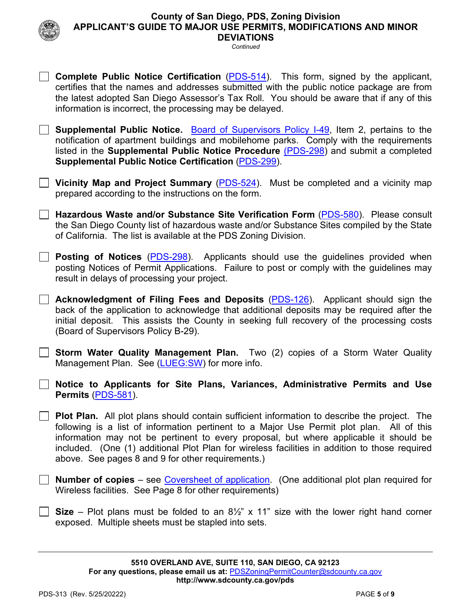

**Complete Public Notice Certification** [\(PDS-514\)](https://www.sandiegocounty.gov/pds/zoning/formfields/PDS-PLN-514.pdf). This form, signed by the applicant, certifies that the names and addresses submitted with the public notice package are from

*Continued*

| the latest adopted San Diego Assessor's Tax Roll. You should be aware that if any of this<br>information is incorrect, the processing may be delayed.                                                                                                                                                                                       |
|---------------------------------------------------------------------------------------------------------------------------------------------------------------------------------------------------------------------------------------------------------------------------------------------------------------------------------------------|
| Supplemental Public Notice. Board of Supervisors Policy I-49, Item 2, pertains to the<br>notification of apartment buildings and mobilehome parks. Comply with the requirements<br>listed in the <b>Supplemental Public Notice Procedure</b> (PDS-298) and submit a completed<br><b>Supplemental Public Notice Certification (PDS-299).</b> |
| Vicinity Map and Project Summary (PDS-524). Must be completed and a vicinity map<br>prepared according to the instructions on the form.                                                                                                                                                                                                     |
| Hazardous Waste and/or Substance Site Verification Form (PDS-580). Please consult<br>the San Diego County list of hazardous waste and/or Substance Sites compiled by the State<br>of California. The list is available at the PDS Zoning Division.                                                                                          |
| <b>Posting of Notices</b> (PDS-298). Applicants should use the guidelines provided when<br>posting Notices of Permit Applications. Failure to post or comply with the guidelines may<br>result in delays of processing your project.                                                                                                        |
| <b>Acknowledgment of Filing Fees and Deposits (PDS-126).</b> Applicant should sign the<br>hook of the epplication to coknowledge that additional depenits may be required ofter the                                                                                                                                                         |

back of the application to acknowledge that additional deposits may be required after the initial deposit. This assists the County in seeking full recovery of the processing costs (Board of Supervisors Policy B-29).

**Storm Water Quality Management Plan.** Two (2) copies of a Storm Water Quality Management Plan. See [\(LUEG:SW\)](http://www.sandiegocounty.gov/content/dam/sdc/pds/zoning/formfields/SWQMP-Intake-Form.pdf) for more info.

**Notice to Applicants for Site Plans, Variances, Administrative Permits and Use Permits** [\(PDS-581\)](https://www.sandiegocounty.gov/content/dam/sdc/pds/zoning/formfields/PDS-PLN-581.pdf).

**Plot Plan.** All plot plans should contain sufficient information to describe the project. The following is a list of information pertinent to a Major Use Permit plot plan. All of this information may not be pertinent to every proposal, but where applicable it should be included. (One (1) additional Plot Plan for wireless facilities in addition to those required above. See pages 8 and 9 for other requirements.)

**Number of copies** – see [Coversheet of application.](http://www.sandiegocounty.gov/content/sdc/pds/zoning/ZoningPermits.html) (One additional plot plan required for Wireless facilities. See Page 8 for other requirements)

**Size** – Plot plans must be folded to an 8½" x 11" size with the lower right hand corner exposed. Multiple sheets must be stapled into sets.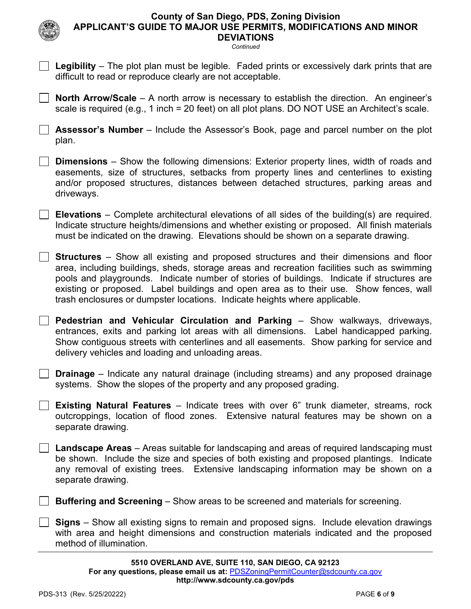*Continued*

**Legibility** – The plot plan must be legible. Faded prints or excessively dark prints that are

**North Arrow/Scale** – A north arrow is necessary to establish the direction. An engineer's scale is required (e.g., 1 inch = 20 feet) on all plot plans. DO NOT USE an Architect's scale.

**Assessor's Number** – Include the Assessor's Book, page and parcel number on the plot

difficult to read or reproduce clearly are not acceptable.

**5510 OVERLAND AVE, SUITE 110, SAN DIEGO, CA 92123 For any questions, please email us at:** [PDSZoningPermitCounter@sdcounty.ca.gov](mailto:PDSZoningPermitCounter@sdcounty.ca.gov) **<http://www.sdcounty.ca.gov/pds>** PDS-313 (Rev. 5/25/20222) PAGE **6** of **9**  plan. **Dimensions** – Show the following dimensions: Exterior property lines, width of roads and easements, size of structures, setbacks from property lines and centerlines to existing and/or proposed structures, distances between detached structures, parking areas and driveways. **Elevations** – Complete architectural elevations of all sides of the building(s) are required. Indicate structure heights/dimensions and whether existing or proposed. All finish materials must be indicated on the drawing. Elevations should be shown on a separate drawing. **Structures** – Show all existing and proposed structures and their dimensions and floor area, including buildings, sheds, storage areas and recreation facilities such as swimming pools and playgrounds. Indicate number of stories of buildings. Indicate if structures are existing or proposed. Label buildings and open area as to their use. Show fences, wall trash enclosures or dumpster locations. Indicate heights where applicable. **Pedestrian and Vehicular Circulation and Parking** – Show walkways, driveways, entrances, exits and parking lot areas with all dimensions. Label handicapped parking. Show contiguous streets with centerlines and all easements. Show parking for service and delivery vehicles and loading and unloading areas. **Drainage** – Indicate any natural drainage (including streams) and any proposed drainage systems. Show the slopes of the property and any proposed grading. **Existing Natural Features** – Indicate trees with over 6" trunk diameter, streams, rock outcroppings, location of flood zones. Extensive natural features may be shown on a separate drawing. **Landscape Areas** – Areas suitable for landscaping and areas of required landscaping must be shown. Include the size and species of both existing and proposed plantings. Indicate any removal of existing trees. Extensive landscaping information may be shown on a separate drawing. **Buffering and Screening** – Show areas to be screened and materials for screening. **Signs** – Show all existing signs to remain and proposed signs. Include elevation drawings with area and height dimensions and construction materials indicated and the proposed method of illumination.

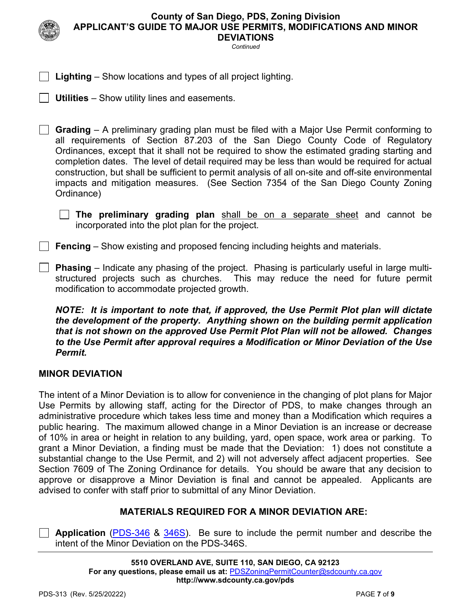*Continued*

**Lighting** – Show locations and types of all project lighting.

**Utilities** – Show utility lines and easements.

**Grading** – A preliminary grading plan must be filed with a Major Use Permit conforming to all requirements of Section 87.203 of the San Diego County Code of Regulatory Ordinances, except that it shall not be required to show the estimated grading starting and completion dates. The level of detail required may be less than would be required for actual construction, but shall be sufficient to permit analysis of all on-site and off-site environmental impacts and mitigation measures. (See Section 7354 of the San Diego County Zoning Ordinance)

 **The preliminary grading plan** shall be on a separate sheet and cannot be incorporated into the plot plan for the project.

**Fencing** – Show existing and proposed fencing including heights and materials.

**Phasing** – Indicate any phasing of the project. Phasing is particularly useful in large multistructured projects such as churches. This may reduce the need for future permit modification to accommodate projected growth.

*NOTE: It is important to note that, if approved, the Use Permit Plot plan will dictate the development of the property. Anything shown on the building permit application that is not shown on the approved Use Permit Plot Plan will not be allowed. Changes to the Use Permit after approval requires a Modification or Minor Deviation of the Use Permit.*

## **MINOR DEVIATION**

The intent of a Minor Deviation is to allow for convenience in the changing of plot plans for Major Use Permits by allowing staff, acting for the Director of PDS, to make changes through an administrative procedure which takes less time and money than a Modification which requires a public hearing. The maximum allowed change in a Minor Deviation is an increase or decrease of 10% in area or height in relation to any building, yard, open space, work area or parking. To grant a Minor Deviation, a finding must be made that the Deviation: 1) does not constitute a substantial change to the Use Permit, and 2) will not adversely affect adjacent properties. See Section 7609 of The Zoning Ordinance for details. You should be aware that any decision to approve or disapprove a Minor Deviation is final and cannot be appealed. Applicants are advised to confer with staff prior to submittal of any Minor Deviation.

#### **MATERIALS REQUIRED FOR A MINOR DEVIATION ARE:**

**Application** [\(PDS-346](https://www.sandiegocounty.gov/content/dam/sdc/pds/zoning/formfields/PDS-PLN-346.pdf) & [346S\)](https://www.sandiegocounty.gov/content/dam/sdc/pds/zoning/formfields/PDS-PLN-346S.pdf). Be sure to include the permit number and describe the intent of the Minor Deviation on the PDS-346S.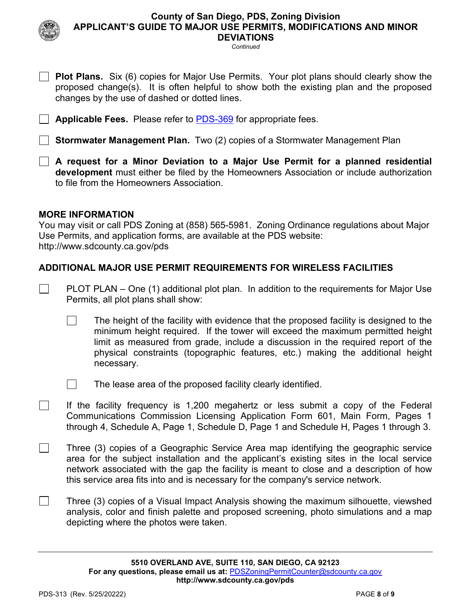*Continued*

- **Plot Plans.** Six (6) copies for Major Use Permits. Your plot plans should clearly show the proposed change(s). It is often helpful to show both the existing plan and the proposed changes by the use of dashed or dotted lines.
- **Applicable Fees.** Please refer to [PDS-369](https://www.sandiegocounty.gov/content/dam/sdc/pds/zoning/formfields/PDS-PLN-369.pdf) for appropriate fees.

**Stormwater Management Plan.** Two (2) copies of a Stormwater Management Plan

**A request for a Minor Deviation to a Major Use Permit for a planned residential development** must either be filed by the Homeowners Association or include authorization to file from the Homeowners Association.

#### **MORE INFORMATION**

 $\Box$ 

 $\Box$ 

You may visit or call PDS Zoning at (858) 565-5981. Zoning Ordinance regulations about Major Use Permits, and application forms, are available at the PDS website: [http://www.sdcounty.ca.gov/pds](http://www.sdcpds.org/)

## **ADDITIONAL MAJOR USE PERMIT REQUIREMENTS FOR WIRELESS FACILITIES**

- PLOT PLAN One (1) additional plot plan. In addition to the requirements for Major Use Permits, all plot plans shall show:
	- $\Box$ The height of the facility with evidence that the proposed facility is designed to the minimum height required. If the tower will exceed the maximum permitted height limit as measured from grade, include a discussion in the required report of the physical constraints (topographic features, etc.) making the additional height necessary.
	- $\mathcal{L}_{\rm{eff}}$ The lease area of the proposed facility clearly identified.
- П If the facility frequency is 1,200 megahertz or less submit a copy of the Federal Communications Commission Licensing Application Form 601, Main Form, Pages 1 through 4, Schedule A, Page 1, Schedule D, Page 1 and Schedule H, Pages 1 through 3.
- $\Box$ Three (3) copies of a Geographic Service Area map identifying the geographic service area for the subject installation and the applicant's existing sites in the local service network associated with the gap the facility is meant to close and a description of how this service area fits into and is necessary for the company's service network.
	- Three (3) copies of a Visual Impact Analysis showing the maximum silhouette, viewshed analysis, color and finish palette and proposed screening, photo simulations and a map depicting where the photos were taken.